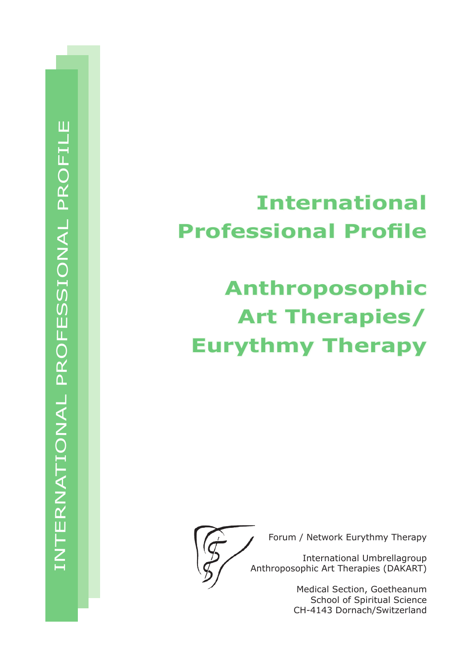# **International Professional Profile**

# **Anthroposophic Art Therapies/ Eurythmy Therapy**



Forum / Network Eurythmy Therapy

International Umbrellagroup Anthroposophic Art Therapies (DAKART)

> Medical Section, Goetheanum School of Spiritual Science CH-4143 Dornach/Switzerland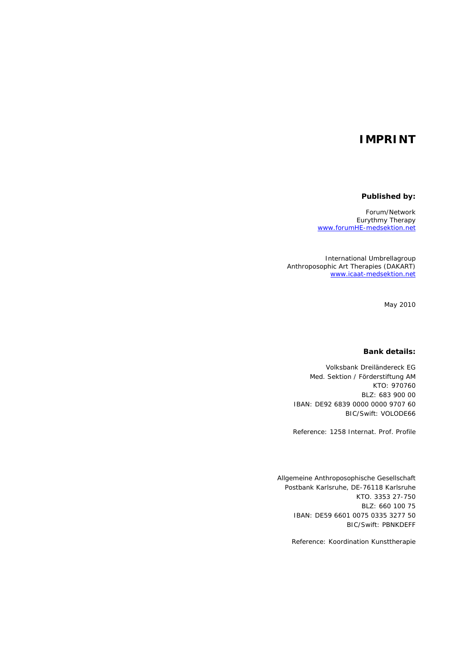# **IMPRINT**

#### **Published by:**

Forum/Network Eurythmy Therapy www.forumHE-medsektion.net

International Umbrellagroup Anthroposophic Art Therapies (DAKART) www.icaat-medsektion.net

May 2010

#### **Bank details:**

Volksbank Dreiländereck EG Med. Sektion / Förderstiftung AM KTO: 970760 BLZ: 683 900 00 IBAN: DE92 6839 0000 0000 9707 60 BIC/Swift: VOLODE66

Reference: 1258 Internat. Prof. Profile

Allgemeine Anthroposophische Gesellschaft Postbank Karlsruhe, DE-76118 Karlsruhe KTO. 3353 27-750 BLZ: 660 100 75 IBAN: DE59 6601 0075 0335 3277 50 BIC/Swift: PBNKDEFF

Reference: Koordination Kunsttherapie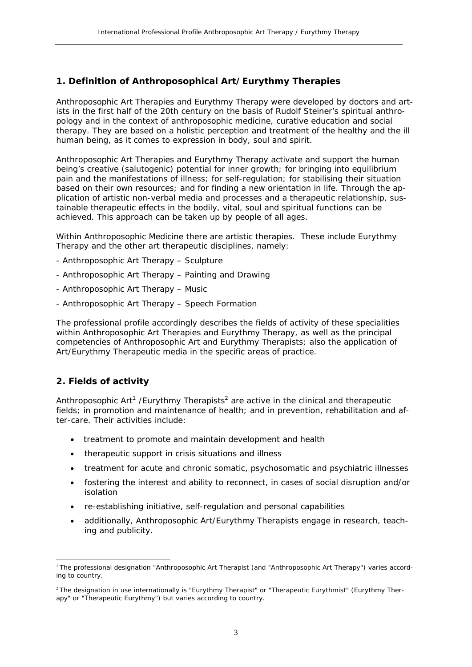# **1. Definition of Anthroposophical Art/Eurythmy Therapies**

Anthroposophic Art Therapies and Eurythmy Therapy were developed by doctors and artists in the first half of the 20th century on the basis of Rudolf Steiner's spiritual anthropology and in the context of anthroposophic medicine, curative education and social therapy. They are based on a holistic perception and treatment of the healthy and the ill human being, as it comes to expression in body, soul and spirit.

Anthroposophic Art Therapies and Eurythmy Therapy activate and support the human being's creative (salutogenic) potential for inner growth; for bringing into equilibrium pain and the manifestations of illness; for self-regulation; for stabilising their situation based on their own resources; and for finding a new orientation in life. Through the application of artistic non-verbal media and processes and a therapeutic relationship, sustainable therapeutic effects in the bodily, vital, soul and spiritual functions can be achieved. This approach can be taken up by people of all ages.

Within Anthroposophic Medicine there are artistic therapies. These include Eurythmy Therapy and the other art therapeutic disciplines, namely:

- Anthroposophic Art Therapy Sculpture
- Anthroposophic Art Therapy Painting and Drawing
- Anthroposophic Art Therapy Music
- Anthroposophic Art Therapy Speech Formation

The professional profile accordingly describes the fields of activity of these specialities within Anthroposophic Art Therapies and Eurythmy Therapy, as well as the principal competencies of Anthroposophic Art and Eurythmy Therapists; also the application of Art/Eurythmy Therapeutic media in the specific areas of practice.

# **2. Fields of activity**

Anthroposophic Art<sup>1</sup> /Eurythmy Therapists<sup>2</sup> are active in the clinical and therapeutic fields; in promotion and maintenance of health; and in prevention, rehabilitation and after-care. Their activities include:

- treatment to promote and maintain development and health
- therapeutic support in crisis situations and illness
- treatment for acute and chronic somatic, psychosomatic and psychiatric illnesses
- fostering the interest and ability to reconnect, in cases of social disruption and/or isolation
- re-establishing initiative, self-regulation and personal capabilities
- additionally, Anthroposophic Art/Eurythmy Therapists engage in research, teaching and publicity.

<sup>1</sup> <sup>1</sup> The professional designation "Anthroposophic Art Therapist (and "Anthroposophic Art Therapy") varies according to country.

<sup>&</sup>lt;sup>2</sup> The designation in use internationally is "Eurythmy Therapist" or "Therapeutic Eurythmist" (Eurythmy Therapy" or "Therapeutic Eurythmy") but varies according to country.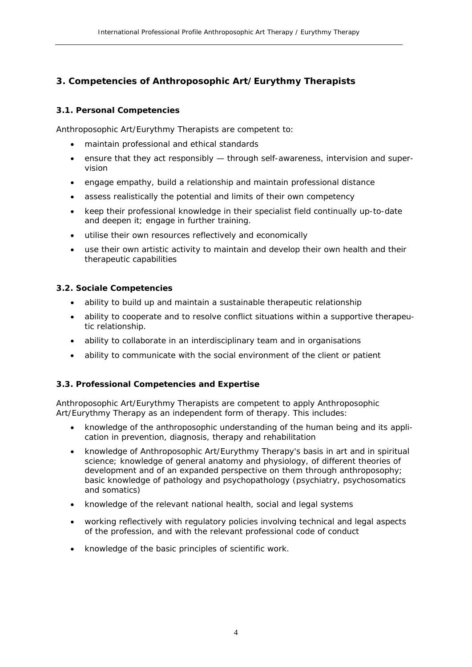# **3. Competencies of Anthroposophic Art/Eurythmy Therapists**

# **3.1. Personal Competencies**

Anthroposophic Art/Eurythmy Therapists are competent to:

- maintain professional and ethical standards
- ensure that they act responsibly through self-awareness, intervision and supervision
- engage empathy, build a relationship and maintain professional distance
- assess realistically the potential and limits of their own competency
- keep their professional knowledge in their specialist field continually up-to-date and deepen it; engage in further training.
- utilise their own resources reflectively and economically
- use their own artistic activity to maintain and develop their own health and their therapeutic capabilities

## **3.2. Sociale Competencies**

- ability to build up and maintain a sustainable therapeutic relationship
- ability to cooperate and to resolve conflict situations within a supportive therapeutic relationship.
- ability to collaborate in an interdisciplinary team and in organisations
- ability to communicate with the social environment of the client or patient

# **3.3. Professional Competencies and Expertise**

Anthroposophic Art/Eurythmy Therapists are competent to apply Anthroposophic Art/Eurythmy Therapy as an independent form of therapy. This includes:

- knowledge of the anthroposophic understanding of the human being and its application in prevention, diagnosis, therapy and rehabilitation
- knowledge of Anthroposophic Art/Eurythmy Therapy's basis in art and in spiritual science; knowledge of general anatomy and physiology, of different theories of development and of an expanded perspective on them through anthroposophy; basic knowledge of pathology and psychopathology (psychiatry, psychosomatics and somatics)
- knowledge of the relevant national health, social and legal systems
- working reflectively with regulatory policies involving technical and legal aspects of the profession, and with the relevant professional code of conduct
- knowledge of the basic principles of scientific work.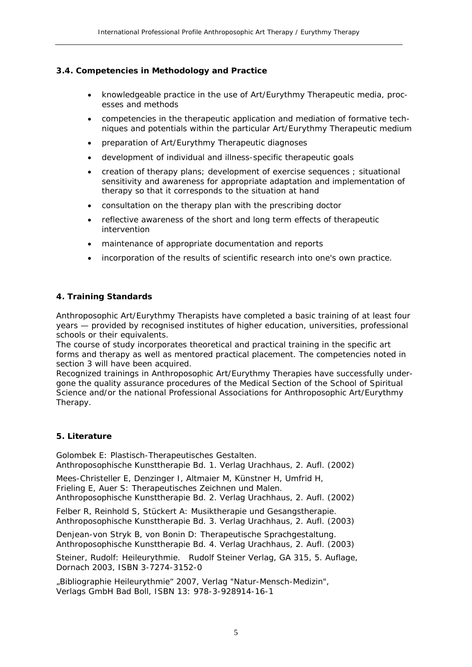# **3.4. Competencies in Methodology and Practice**

- knowledgeable practice in the use of Art/Eurythmy Therapeutic media, processes and methods
- competencies in the therapeutic application and mediation of formative techniques and potentials within the particular Art/Eurythmy Therapeutic medium
- preparation of Art/Eurythmy Therapeutic diagnoses
- development of individual and illness-specific therapeutic goals
- creation of therapy plans; development of exercise sequences ; situational sensitivity and awareness for appropriate adaptation and implementation of therapy so that it corresponds to the situation at hand
- consultation on the therapy plan with the prescribing doctor
- reflective awareness of the short and long term effects of therapeutic intervention
- maintenance of appropriate documentation and reports
- incorporation of the results of scientific research into one's own practice.

# **4. Training Standards**

Anthroposophic Art/Eurythmy Therapists have completed a basic training of at least four years — provided by recognised institutes of higher education, universities, professional schools or their equivalents.

The course of study incorporates theoretical and practical training in the specific art forms and therapy as well as mentored practical placement. The competencies noted in section 3 will have been acquired.

Recognized trainings in Anthroposophic Art/Eurythmy Therapies have successfully undergone the quality assurance procedures of the Medical Section of the School of Spiritual Science and/or the national Professional Associations for Anthroposophic Art/Eurythmy Therapy.

# **5. Literature**

Golombek E: Plastisch-Therapeutisches Gestalten. Anthroposophische Kunsttherapie Bd. 1. Verlag Urachhaus, 2. Aufl. (2002)

Mees-Christeller E, Denzinger I, Altmaier M, Künstner H, Umfrid H, Frieling E, Auer S: Therapeutisches Zeichnen und Malen.

Anthroposophische Kunsttherapie Bd. 2. Verlag Urachhaus, 2. Aufl. (2002)

Felber R, Reinhold S, Stückert A: Musiktherapie und Gesangstherapie.

Anthroposophische Kunsttherapie Bd. 3. Verlag Urachhaus, 2. Aufl. (2003)

Denjean-von Stryk B, von Bonin D: Therapeutische Sprachgestaltung. Anthroposophische Kunsttherapie Bd. 4. Verlag Urachhaus, 2. Aufl. (2003)

Steiner, Rudolf: Heileurythmie. Rudolf Steiner Verlag, GA 315, 5. Auflage, Dornach 2003, ISBN 3-7274-3152-0

"Bibliographie Heileurythmie" 2007, Verlag "Natur-Mensch-Medizin", Verlags GmbH Bad Boll, ISBN 13: 978-3-928914-16-1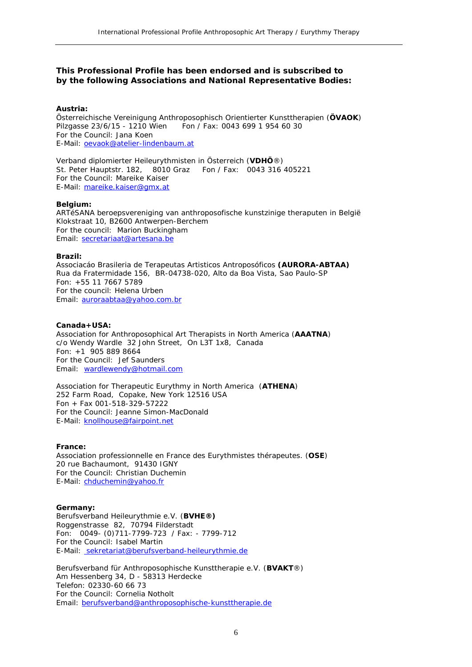### **This Professional Profile has been endorsed and is subscribed to by the following Associations and National Representative Bodies:**

#### **Austria:**

Österreichische Vereinigung Anthroposophisch Orientierter Kunsttherapien (**ÖVAOK**) Pilzgasse 23/6/15 - 1210 Wien Fon / Fax: 0043 699 1 954 60 30 For the Council: Jana Koen E-Mail: oevaok@atelier-lindenbaum.at

Verband diplomierter Heileurythmisten in Österreich (**VDHÖ**®) St. Peter Hauptstr. 182, 8010 Graz Fon / Fax: 0043 316 405221 For the Council: Mareike Kaiser E-Mail: mareike.kaiser@gmx.at

#### **Belgium:**

ARTéSANA beroepsvereniging van anthroposofische kunstzinige theraputen in België Klokstraat 10, B2600 Antwerpen-Berchem For the council: Marion Buckingham Email: secretariaat@artesana.be

#### **Brazil:**

Associacáo Brasileria de Terapeutas Artisticos Antroposóficos **(AURORA-ABTAA)**  Rua da Fratermidade 156, BR-04738-020, Alto da Boa Vista, Sao Paulo-SP Fon: +55 11 7667 5789 For the council: Helena Urben Email: auroraabtaa@yahoo.com.br

#### **Canada+USA:**

Association for Anthroposophical Art Therapists in North America (**AAATNA**) c/o Wendy Wardle 32 John Street, On L3T 1x8, Canada Fon: +1 905 889 8664 For the Council: Jef Saunders Email: wardlewendy@hotmail.com

Association for Therapeutic Eurythmy in North America (**ATHENA**) 252 Farm Road, Copake, New York 12516 USA Fon + Fax 001-518-329-57222 For the Council: Jeanne Simon-MacDonald E-Mail: knollhouse@fairpoint.net

#### **France:**

Association professionnelle en France des Eurythmistes thérapeutes. (**OSE**) 20 rue Bachaumont, 91430 IGNY For the Council: Christian Duchemin E-Mail: chduchemin@yahoo.fr

#### **Germany:**

Berufsverband Heileurythmie e.V. (**BVHE®)**  Roggenstrasse 82, 70794 Filderstadt Fon: 0049- (0)711-7799-723 / Fax: - 7799-712 For the Council: Isabel Martin E-Mail: sekretariat@berufsverband-heileurythmie.de

Berufsverband für Anthroposophische Kunsttherapie e.V. (**BVAKT**®) Am Hessenberg 34, D - 58313 Herdecke Telefon: 02330-60 66 73 For the Council: Cornelia Notholt Email: berufsverband@anthroposophische-kunsttherapie.de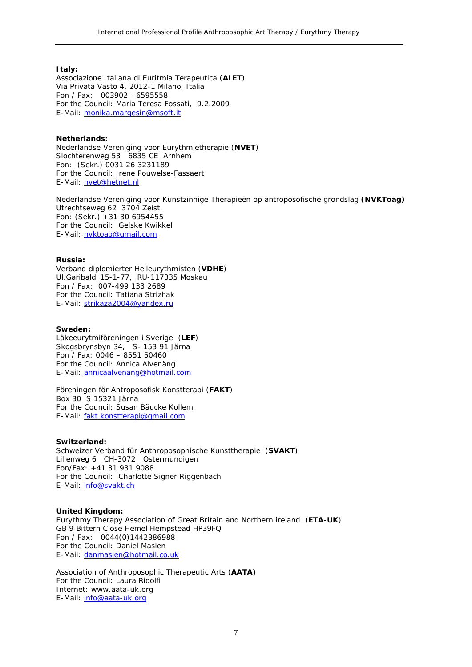#### **Italy:**

Associazione Italiana di Euritmia Terapeutica (**AIET**) Via Privata Vasto 4, 2012-1 Milano, Italia Fon / Fax: 003902 - 6595558 For the Council: Maria Teresa Fossati, 9.2.2009 E-Mail: monika.margesin@msoft.it

#### **Netherlands:**

Nederlandse Vereniging voor Eurythmietherapie (**NVET**) Slochterenweg 53 6835 CE Arnhem Fon: (Sekr.) 0031 26 3231189 For the Council: Irene Pouwelse-Fassaert E-Mail: nvet@hetnet.nl

Nederlandse Vereniging voor Kunstzinnige Therapieën op antroposofische grondslag **(NVKToag)** Utrechtseweg 62 3704 Zeist, Fon: (Sekr.) +31 30 6954455 For the Council: Gelske Kwikkel E-Mail: nvktoag@gmail.com

#### **Russia:**

Verband diplomierter Heileurythmisten (**VDHE**) Ul.Garibaldi 15-1-77, RU-117335 Moskau Fon / Fax: 007-499 133 2689 For the Council: Tatiana Strizhak E-Mail: strikaza2004@yandex.ru

#### **Sweden:**

Läkeeurytmiföreningen i Sverige (**LEF**) Skogsbrynsbyn 34, S- 153 91 Järna Fon / Fax: 0046 – 8551 50460 For the Council: Annica Alvenäng E-Mail: annicaalvenang@hotmail.com

Föreningen för Antroposofisk Konstterapi (**FAKT**) Box 30 S 15321 Järna For the Council: Susan Bäucke Kollem E-Mail: fakt.konstterapi@gmail.com

#### **Switzerland:**

Schweizer Verband für Anthroposophische Kunsttherapie(**SVAKT**) Lilienweg 6 CH-3072 Ostermundigen Fon/Fax: +41 31 931 9088 For the Council: Charlotte Signer Riggenbach E-Mail: info@svakt.ch

#### **United Kingdom:**

Eurythmy Therapy Association of Great Britain and Northern ireland (**ETA-UK**) GB 9 Bittern Close Hemel Hempstead HP39FQ Fon / Fax: 0044(0)1442386988 For the Council: Daniel Maslen E-Mail: danmaslen@hotmail.co.uk

Association of Anthroposophic Therapeutic Arts (**AATA)**  For the Council: Laura Ridolfi Internet: www.aata-uk.org E-Mail: info@aata-uk.org